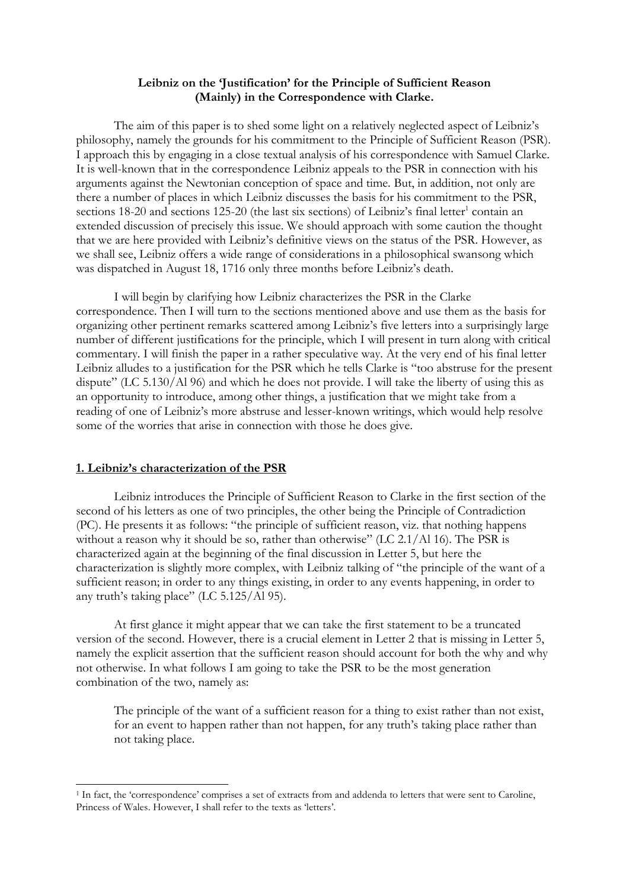# **Leibniz on the 'Justification' for the Principle of Sufficient Reason (Mainly) in the Correspondence with Clarke.**

The aim of this paper is to shed some light on a relatively neglected aspect of Leibniz's philosophy, namely the grounds for his commitment to the Principle of Sufficient Reason (PSR). I approach this by engaging in a close textual analysis of his correspondence with Samuel Clarke. It is well-known that in the correspondence Leibniz appeals to the PSR in connection with his arguments against the Newtonian conception of space and time. But, in addition, not only are there a number of places in which Leibniz discusses the basis for his commitment to the PSR, sections 18-20 and sections 125-20 (the last six sections) of Leibniz's final letter<sup>1</sup> contain an extended discussion of precisely this issue. We should approach with some caution the thought that we are here provided with Leibniz's definitive views on the status of the PSR. However, as we shall see, Leibniz offers a wide range of considerations in a philosophical swansong which was dispatched in August 18, 1716 only three months before Leibniz's death.

I will begin by clarifying how Leibniz characterizes the PSR in the Clarke correspondence. Then I will turn to the sections mentioned above and use them as the basis for organizing other pertinent remarks scattered among Leibniz's five letters into a surprisingly large number of different justifications for the principle, which I will present in turn along with critical commentary. I will finish the paper in a rather speculative way. At the very end of his final letter Leibniz alludes to a justification for the PSR which he tells Clarke is "too abstruse for the present dispute" (LC 5.130/Al 96) and which he does not provide. I will take the liberty of using this as an opportunity to introduce, among other things, a justification that we might take from a reading of one of Leibniz's more abstruse and lesser-known writings, which would help resolve some of the worries that arise in connection with those he does give.

## **1. Leibniz's characterization of the PSR**

 $\overline{a}$ 

Leibniz introduces the Principle of Sufficient Reason to Clarke in the first section of the second of his letters as one of two principles, the other being the Principle of Contradiction (PC). He presents it as follows: "the principle of sufficient reason, viz. that nothing happens without a reason why it should be so, rather than otherwise" (LC 2.1/Al 16). The PSR is characterized again at the beginning of the final discussion in Letter 5, but here the characterization is slightly more complex, with Leibniz talking of "the principle of the want of a sufficient reason; in order to any things existing, in order to any events happening, in order to any truth's taking place" (LC 5.125/Al 95).

At first glance it might appear that we can take the first statement to be a truncated version of the second. However, there is a crucial element in Letter 2 that is missing in Letter 5, namely the explicit assertion that the sufficient reason should account for both the why and why not otherwise. In what follows I am going to take the PSR to be the most generation combination of the two, namely as:

The principle of the want of a sufficient reason for a thing to exist rather than not exist, for an event to happen rather than not happen, for any truth's taking place rather than not taking place.

<sup>1</sup> In fact, the 'correspondence' comprises a set of extracts from and addenda to letters that were sent to Caroline, Princess of Wales. However, I shall refer to the texts as 'letters'.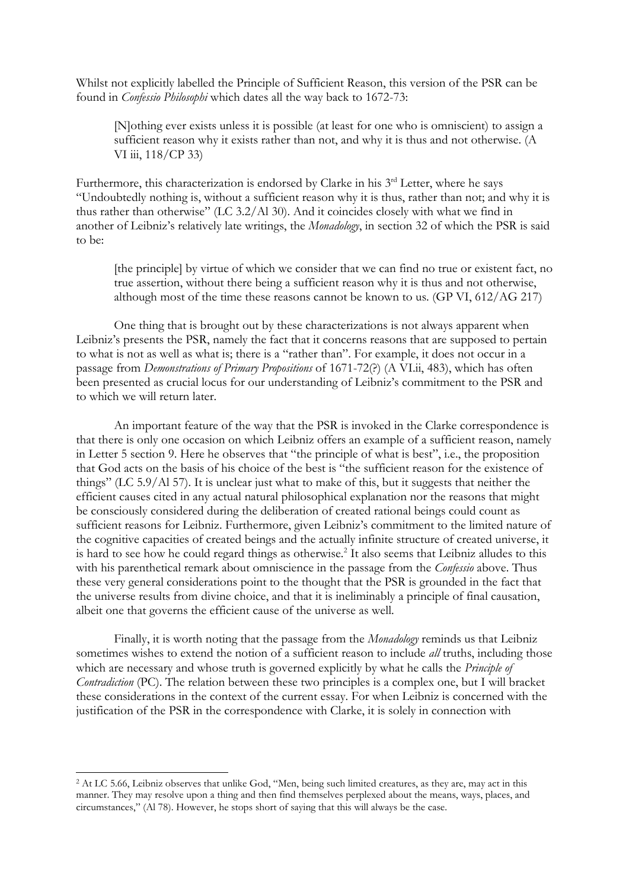Whilst not explicitly labelled the Principle of Sufficient Reason, this version of the PSR can be found in *Confessio Philosophi* which dates all the way back to 1672-73:

[N]othing ever exists unless it is possible (at least for one who is omniscient) to assign a sufficient reason why it exists rather than not, and why it is thus and not otherwise. (A VI iii, 118/CP 33)

Furthermore, this characterization is endorsed by Clarke in his  $3<sup>rd</sup>$  Letter, where he says "Undoubtedly nothing is, without a sufficient reason why it is thus, rather than not; and why it is thus rather than otherwise" (LC 3.2/Al 30). And it coincides closely with what we find in another of Leibniz's relatively late writings, the *Monadology*, in section 32 of which the PSR is said to be:

[the principle] by virtue of which we consider that we can find no true or existent fact, no true assertion, without there being a sufficient reason why it is thus and not otherwise, although most of the time these reasons cannot be known to us. (GP VI, 612/AG 217)

One thing that is brought out by these characterizations is not always apparent when Leibniz's presents the PSR, namely the fact that it concerns reasons that are supposed to pertain to what is not as well as what is; there is a "rather than". For example, it does not occur in a passage from *Demonstrations of Primary Propositions* of 1671-72(?) (A VI.ii, 483), which has often been presented as crucial locus for our understanding of Leibniz's commitment to the PSR and to which we will return later.

An important feature of the way that the PSR is invoked in the Clarke correspondence is that there is only one occasion on which Leibniz offers an example of a sufficient reason, namely in Letter 5 section 9. Here he observes that "the principle of what is best", i.e., the proposition that God acts on the basis of his choice of the best is "the sufficient reason for the existence of things" (LC 5.9/Al 57). It is unclear just what to make of this, but it suggests that neither the efficient causes cited in any actual natural philosophical explanation nor the reasons that might be consciously considered during the deliberation of created rational beings could count as sufficient reasons for Leibniz. Furthermore, given Leibniz's commitment to the limited nature of the cognitive capacities of created beings and the actually infinite structure of created universe, it is hard to see how he could regard things as otherwise.<sup>2</sup> It also seems that Leibniz alludes to this with his parenthetical remark about omniscience in the passage from the *Confessio* above. Thus these very general considerations point to the thought that the PSR is grounded in the fact that the universe results from divine choice, and that it is ineliminably a principle of final causation, albeit one that governs the efficient cause of the universe as well.

Finally, it is worth noting that the passage from the *Monadology* reminds us that Leibniz sometimes wishes to extend the notion of a sufficient reason to include *all* truths, including those which are necessary and whose truth is governed explicitly by what he calls the *Principle of Contradiction* (PC). The relation between these two principles is a complex one, but I will bracket these considerations in the context of the current essay. For when Leibniz is concerned with the justification of the PSR in the correspondence with Clarke, it is solely in connection with

<sup>&</sup>lt;sup>2</sup> At LC 5.66, Leibniz observes that unlike God, "Men, being such limited creatures, as they are, may act in this manner. They may resolve upon a thing and then find themselves perplexed about the means, ways, places, and circumstances," (Al 78). However, he stops short of saying that this will always be the case.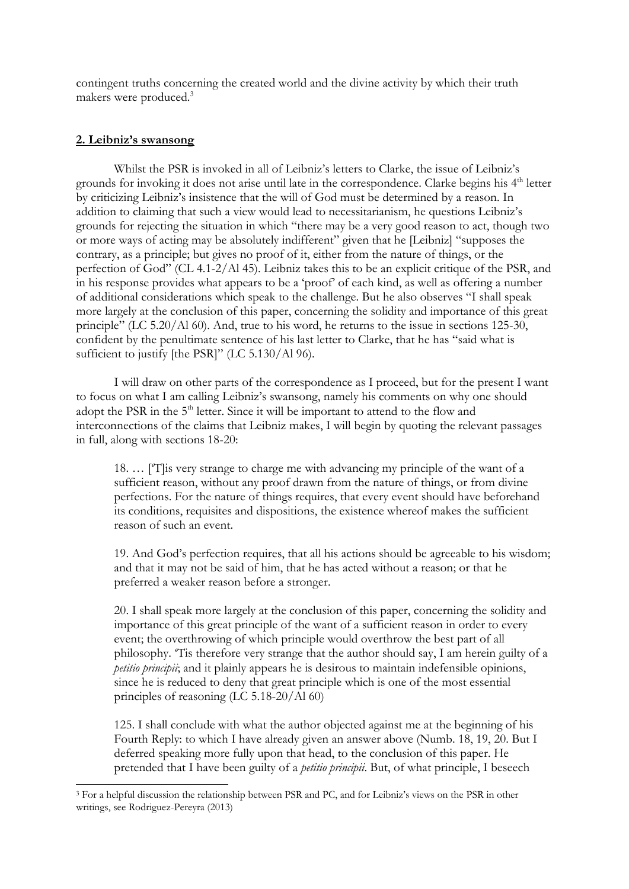contingent truths concerning the created world and the divine activity by which their truth makers were produced.<sup>3</sup>

### **2. Leibniz's swansong**

 $\overline{a}$ 

Whilst the PSR is invoked in all of Leibniz's letters to Clarke, the issue of Leibniz's grounds for invoking it does not arise until late in the correspondence. Clarke begins his 4<sup>th</sup> letter by criticizing Leibniz's insistence that the will of God must be determined by a reason. In addition to claiming that such a view would lead to necessitarianism, he questions Leibniz's grounds for rejecting the situation in which "there may be a very good reason to act, though two or more ways of acting may be absolutely indifferent" given that he [Leibniz] "supposes the contrary, as a principle; but gives no proof of it, either from the nature of things, or the perfection of God" (CL 4.1-2/Al 45). Leibniz takes this to be an explicit critique of the PSR, and in his response provides what appears to be a 'proof' of each kind, as well as offering a number of additional considerations which speak to the challenge. But he also observes "I shall speak more largely at the conclusion of this paper, concerning the solidity and importance of this great principle" (LC 5.20/Al 60). And, true to his word, he returns to the issue in sections 125-30, confident by the penultimate sentence of his last letter to Clarke, that he has "said what is sufficient to justify [the PSR]" (LC 5.130/Al 96).

I will draw on other parts of the correspondence as I proceed, but for the present I want to focus on what I am calling Leibniz's swansong, namely his comments on why one should adopt the PSR in the 5<sup>th</sup> letter. Since it will be important to attend to the flow and interconnections of the claims that Leibniz makes, I will begin by quoting the relevant passages in full, along with sections 18-20:

18. … ['T]is very strange to charge me with advancing my principle of the want of a sufficient reason, without any proof drawn from the nature of things, or from divine perfections. For the nature of things requires, that every event should have beforehand its conditions, requisites and dispositions, the existence whereof makes the sufficient reason of such an event.

19. And God's perfection requires, that all his actions should be agreeable to his wisdom; and that it may not be said of him, that he has acted without a reason; or that he preferred a weaker reason before a stronger.

20. I shall speak more largely at the conclusion of this paper, concerning the solidity and importance of this great principle of the want of a sufficient reason in order to every event; the overthrowing of which principle would overthrow the best part of all philosophy. 'Tis therefore very strange that the author should say, I am herein guilty of a *petitio principii*; and it plainly appears he is desirous to maintain indefensible opinions, since he is reduced to deny that great principle which is one of the most essential principles of reasoning (LC 5.18-20/Al 60)

125. I shall conclude with what the author objected against me at the beginning of his Fourth Reply: to which I have already given an answer above (Numb. 18, 19, 20. But I deferred speaking more fully upon that head, to the conclusion of this paper. He pretended that I have been guilty of a *petitio principii*. But, of what principle, I beseech

<sup>3</sup> For a helpful discussion the relationship between PSR and PC, and for Leibniz's views on the PSR in other writings, see Rodriguez-Pereyra (2013)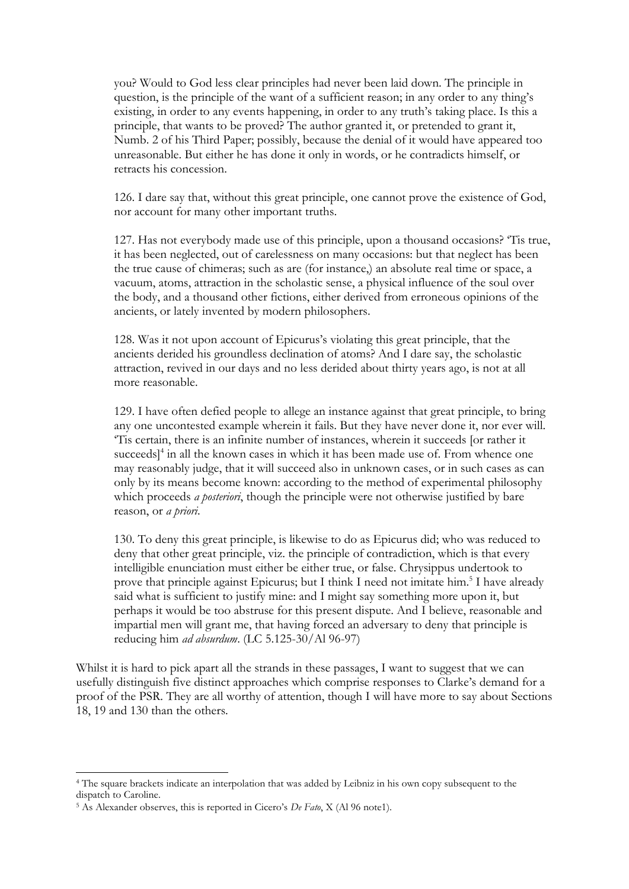you? Would to God less clear principles had never been laid down. The principle in question, is the principle of the want of a sufficient reason; in any order to any thing's existing, in order to any events happening, in order to any truth's taking place. Is this a principle, that wants to be proved? The author granted it, or pretended to grant it, Numb. 2 of his Third Paper; possibly, because the denial of it would have appeared too unreasonable. But either he has done it only in words, or he contradicts himself, or retracts his concession.

126. I dare say that, without this great principle, one cannot prove the existence of God, nor account for many other important truths.

127. Has not everybody made use of this principle, upon a thousand occasions? 'Tis true, it has been neglected, out of carelessness on many occasions: but that neglect has been the true cause of chimeras; such as are (for instance,) an absolute real time or space, a vacuum, atoms, attraction in the scholastic sense, a physical influence of the soul over the body, and a thousand other fictions, either derived from erroneous opinions of the ancients, or lately invented by modern philosophers.

128. Was it not upon account of Epicurus's violating this great principle, that the ancients derided his groundless declination of atoms? And I dare say, the scholastic attraction, revived in our days and no less derided about thirty years ago, is not at all more reasonable.

129. I have often defied people to allege an instance against that great principle, to bring any one uncontested example wherein it fails. But they have never done it, nor ever will. 'Tis certain, there is an infinite number of instances, wherein it succeeds [or rather it succeeds]<sup>4</sup> in all the known cases in which it has been made use of. From whence one may reasonably judge, that it will succeed also in unknown cases, or in such cases as can only by its means become known: according to the method of experimental philosophy which proceeds *a posteriori*, though the principle were not otherwise justified by bare reason, or *a priori*.

130. To deny this great principle, is likewise to do as Epicurus did; who was reduced to deny that other great principle, viz. the principle of contradiction, which is that every intelligible enunciation must either be either true, or false. Chrysippus undertook to prove that principle against Epicurus; but I think I need not imitate him.<sup>5</sup> I have already said what is sufficient to justify mine: and I might say something more upon it, but perhaps it would be too abstruse for this present dispute. And I believe, reasonable and impartial men will grant me, that having forced an adversary to deny that principle is reducing him *ad absurdum*. (LC 5.125-30/Al 96-97)

Whilst it is hard to pick apart all the strands in these passages, I want to suggest that we can usefully distinguish five distinct approaches which comprise responses to Clarke's demand for a proof of the PSR. They are all worthy of attention, though I will have more to say about Sections 18, 19 and 130 than the others.

<sup>4</sup> The square brackets indicate an interpolation that was added by Leibniz in his own copy subsequent to the dispatch to Caroline.

<sup>5</sup> As Alexander observes, this is reported in Cicero's *De Fato*, X (Al 96 note1).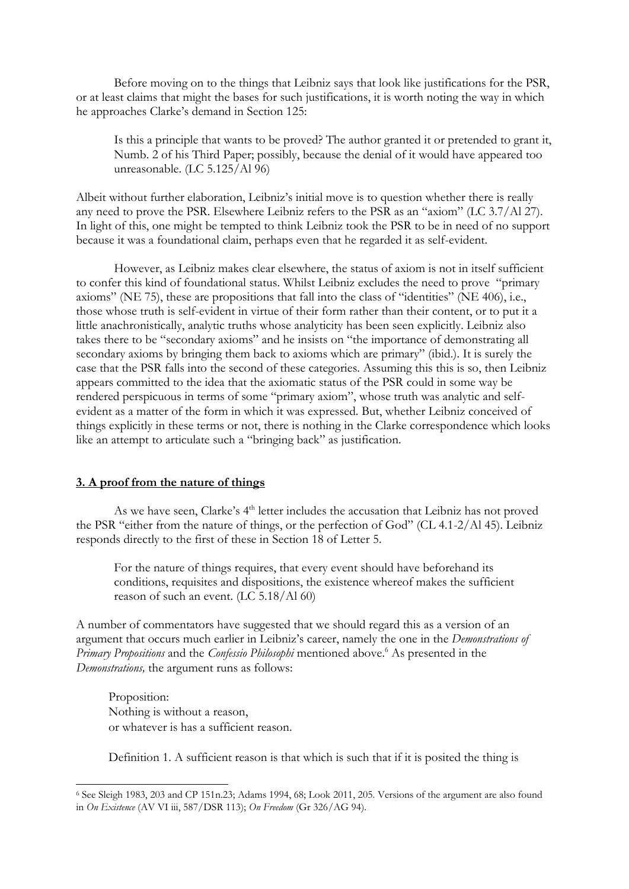Before moving on to the things that Leibniz says that look like justifications for the PSR, or at least claims that might the bases for such justifications, it is worth noting the way in which he approaches Clarke's demand in Section 125:

Is this a principle that wants to be proved? The author granted it or pretended to grant it, Numb. 2 of his Third Paper; possibly, because the denial of it would have appeared too unreasonable. (LC 5.125/Al 96)

Albeit without further elaboration, Leibniz's initial move is to question whether there is really any need to prove the PSR. Elsewhere Leibniz refers to the PSR as an "axiom" (LC 3.7/Al 27). In light of this, one might be tempted to think Leibniz took the PSR to be in need of no support because it was a foundational claim, perhaps even that he regarded it as self-evident.

However, as Leibniz makes clear elsewhere, the status of axiom is not in itself sufficient to confer this kind of foundational status. Whilst Leibniz excludes the need to prove "primary axioms" (NE 75), these are propositions that fall into the class of "identities" (NE 406), i.e., those whose truth is self-evident in virtue of their form rather than their content, or to put it a little anachronistically, analytic truths whose analyticity has been seen explicitly. Leibniz also takes there to be "secondary axioms" and he insists on "the importance of demonstrating all secondary axioms by bringing them back to axioms which are primary" (ibid.). It is surely the case that the PSR falls into the second of these categories. Assuming this this is so, then Leibniz appears committed to the idea that the axiomatic status of the PSR could in some way be rendered perspicuous in terms of some "primary axiom", whose truth was analytic and selfevident as a matter of the form in which it was expressed. But, whether Leibniz conceived of things explicitly in these terms or not, there is nothing in the Clarke correspondence which looks like an attempt to articulate such a "bringing back" as justification.

## **3. A proof from the nature of things**

As we have seen, Clarke's 4<sup>th</sup> letter includes the accusation that Leibniz has not proved the PSR "either from the nature of things, or the perfection of God" (CL 4.1-2/Al 45). Leibniz responds directly to the first of these in Section 18 of Letter 5.

For the nature of things requires, that every event should have beforehand its conditions, requisites and dispositions, the existence whereof makes the sufficient reason of such an event. (LC 5.18/Al 60)

A number of commentators have suggested that we should regard this as a version of an argument that occurs much earlier in Leibniz's career, namely the one in the *Demonstrations of Primary Propositions* and the *Confessio Philosophi* mentioned above.<sup>6</sup> As presented in the *Demonstrations,* the argument runs as follows:

Proposition: Nothing is without a reason, or whatever is has a sufficient reason.

 $\overline{a}$ 

Definition 1. A sufficient reason is that which is such that if it is posited the thing is

<sup>6</sup> See Sleigh 1983, 203 and CP 151n.23; Adams 1994, 68; Look 2011, 205. Versions of the argument are also found in *On Existence* (AV VI iii, 587/DSR 113); *On Freedom* (Gr 326/AG 94).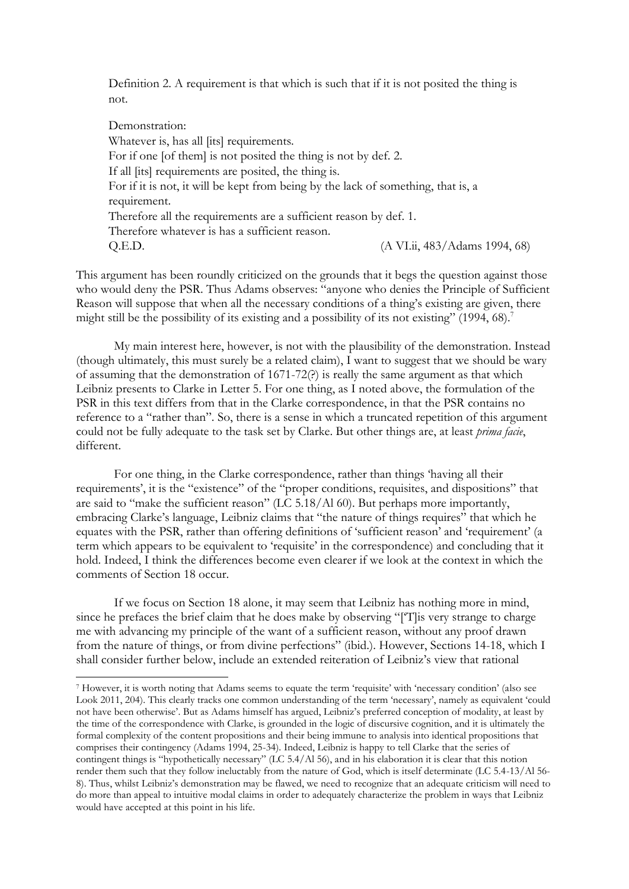Definition 2. A requirement is that which is such that if it is not posited the thing is not.

Demonstration: Whatever is, has all [its] requirements. For if one [of them] is not posited the thing is not by def. 2. If all [its] requirements are posited, the thing is. For if it is not, it will be kept from being by the lack of something, that is, a requirement. Therefore all the requirements are a sufficient reason by def. 1. Therefore whatever is has a sufficient reason. Q.E.D. (A VI.ii, 483/Adams 1994, 68)

This argument has been roundly criticized on the grounds that it begs the question against those who would deny the PSR. Thus Adams observes: "anyone who denies the Principle of Sufficient Reason will suppose that when all the necessary conditions of a thing's existing are given, there might still be the possibility of its existing and a possibility of its not existing" (1994, 68).<sup>7</sup>

My main interest here, however, is not with the plausibility of the demonstration. Instead (though ultimately, this must surely be a related claim), I want to suggest that we should be wary of assuming that the demonstration of 1671-72(?) is really the same argument as that which Leibniz presents to Clarke in Letter 5. For one thing, as I noted above, the formulation of the PSR in this text differs from that in the Clarke correspondence, in that the PSR contains no reference to a "rather than". So, there is a sense in which a truncated repetition of this argument could not be fully adequate to the task set by Clarke. But other things are, at least *prima facie*, different.

For one thing, in the Clarke correspondence, rather than things 'having all their requirements', it is the "existence" of the "proper conditions, requisites, and dispositions" that are said to "make the sufficient reason" (LC 5.18/Al 60). But perhaps more importantly, embracing Clarke's language, Leibniz claims that "the nature of things requires" that which he equates with the PSR, rather than offering definitions of 'sufficient reason' and 'requirement' (a term which appears to be equivalent to 'requisite' in the correspondence) and concluding that it hold. Indeed, I think the differences become even clearer if we look at the context in which the comments of Section 18 occur.

If we focus on Section 18 alone, it may seem that Leibniz has nothing more in mind, since he prefaces the brief claim that he does make by observing "['T]is very strange to charge me with advancing my principle of the want of a sufficient reason, without any proof drawn from the nature of things, or from divine perfections" (ibid.). However, Sections 14-18, which I shall consider further below, include an extended reiteration of Leibniz's view that rational

<sup>7</sup> However, it is worth noting that Adams seems to equate the term 'requisite' with 'necessary condition' (also see Look 2011, 204). This clearly tracks one common understanding of the term 'necessary', namely as equivalent 'could not have been otherwise'. But as Adams himself has argued, Leibniz's preferred conception of modality, at least by the time of the correspondence with Clarke, is grounded in the logic of discursive cognition, and it is ultimately the formal complexity of the content propositions and their being immune to analysis into identical propositions that comprises their contingency (Adams 1994, 25-34). Indeed, Leibniz is happy to tell Clarke that the series of contingent things is "hypothetically necessary" (LC 5.4/Al 56), and in his elaboration it is clear that this notion render them such that they follow ineluctably from the nature of God, which is itself determinate (LC 5.4-13/Al 56- 8). Thus, whilst Leibniz's demonstration may be flawed, we need to recognize that an adequate criticism will need to do more than appeal to intuitive modal claims in order to adequately characterize the problem in ways that Leibniz would have accepted at this point in his life.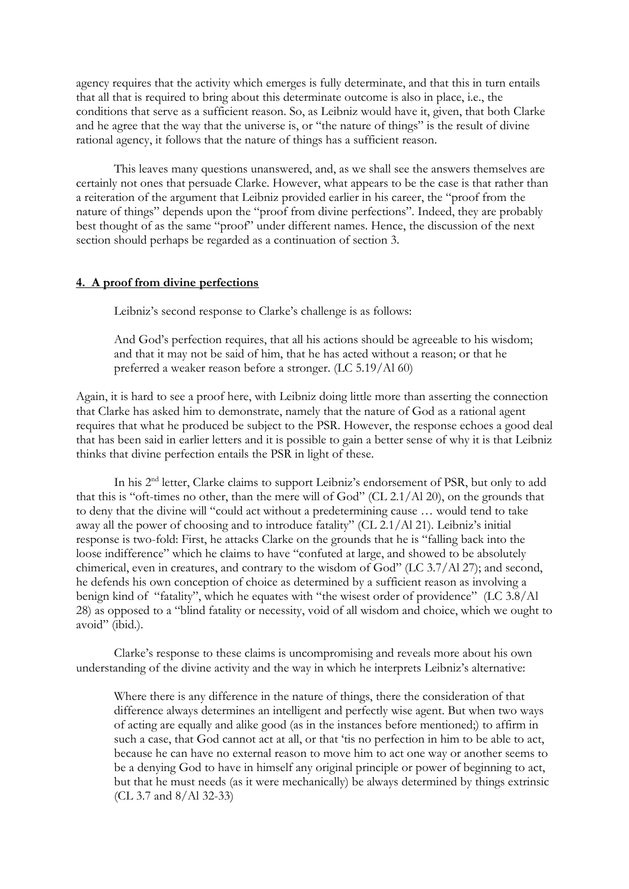agency requires that the activity which emerges is fully determinate, and that this in turn entails that all that is required to bring about this determinate outcome is also in place, i.e., the conditions that serve as a sufficient reason. So, as Leibniz would have it, given, that both Clarke and he agree that the way that the universe is, or "the nature of things" is the result of divine rational agency, it follows that the nature of things has a sufficient reason.

This leaves many questions unanswered, and, as we shall see the answers themselves are certainly not ones that persuade Clarke. However, what appears to be the case is that rather than a reiteration of the argument that Leibniz provided earlier in his career, the "proof from the nature of things" depends upon the "proof from divine perfections". Indeed, they are probably best thought of as the same "proof" under different names. Hence, the discussion of the next section should perhaps be regarded as a continuation of section 3.

## **4. A proof from divine perfections**

Leibniz's second response to Clarke's challenge is as follows:

And God's perfection requires, that all his actions should be agreeable to his wisdom; and that it may not be said of him, that he has acted without a reason; or that he preferred a weaker reason before a stronger. (LC 5.19/Al 60)

Again, it is hard to see a proof here, with Leibniz doing little more than asserting the connection that Clarke has asked him to demonstrate, namely that the nature of God as a rational agent requires that what he produced be subject to the PSR. However, the response echoes a good deal that has been said in earlier letters and it is possible to gain a better sense of why it is that Leibniz thinks that divine perfection entails the PSR in light of these.

In his 2<sup>nd</sup> letter, Clarke claims to support Leibniz's endorsement of PSR, but only to add that this is "oft-times no other, than the mere will of God" (CL 2.1/Al 20), on the grounds that to deny that the divine will "could act without a predetermining cause … would tend to take away all the power of choosing and to introduce fatality" (CL 2.1/Al 21). Leibniz's initial response is two-fold: First, he attacks Clarke on the grounds that he is "falling back into the loose indifference" which he claims to have "confuted at large, and showed to be absolutely chimerical, even in creatures, and contrary to the wisdom of God" (LC 3.7/Al 27); and second, he defends his own conception of choice as determined by a sufficient reason as involving a benign kind of "fatality", which he equates with "the wisest order of providence" (LC 3.8/Al 28) as opposed to a "blind fatality or necessity, void of all wisdom and choice, which we ought to avoid" (ibid.).

Clarke's response to these claims is uncompromising and reveals more about his own understanding of the divine activity and the way in which he interprets Leibniz's alternative:

Where there is any difference in the nature of things, there the consideration of that difference always determines an intelligent and perfectly wise agent. But when two ways of acting are equally and alike good (as in the instances before mentioned;) to affirm in such a case, that God cannot act at all, or that 'tis no perfection in him to be able to act, because he can have no external reason to move him to act one way or another seems to be a denying God to have in himself any original principle or power of beginning to act, but that he must needs (as it were mechanically) be always determined by things extrinsic (CL 3.7 and 8/Al 32-33)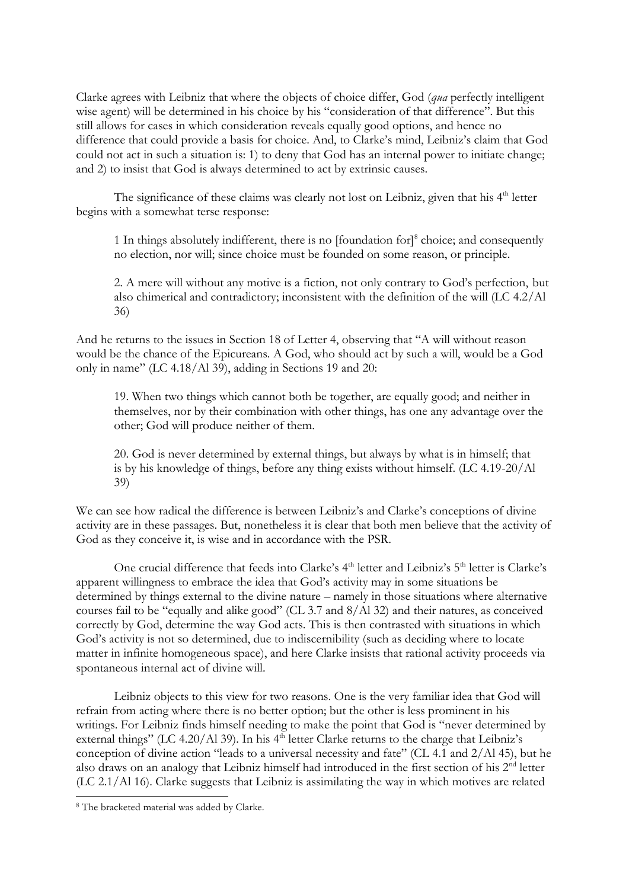Clarke agrees with Leibniz that where the objects of choice differ, God (*qua* perfectly intelligent wise agent) will be determined in his choice by his "consideration of that difference". But this still allows for cases in which consideration reveals equally good options, and hence no difference that could provide a basis for choice. And, to Clarke's mind, Leibniz's claim that God could not act in such a situation is: 1) to deny that God has an internal power to initiate change; and 2) to insist that God is always determined to act by extrinsic causes.

The significance of these claims was clearly not lost on Leibniz, given that his 4<sup>th</sup> letter begins with a somewhat terse response:

1 In things absolutely indifferent, there is no [foundation for]<sup>8</sup> choice; and consequently no election, nor will; since choice must be founded on some reason, or principle.

2. A mere will without any motive is a fiction, not only contrary to God's perfection, but also chimerical and contradictory; inconsistent with the definition of the will (LC 4.2/Al 36)

And he returns to the issues in Section 18 of Letter 4, observing that "A will without reason would be the chance of the Epicureans. A God, who should act by such a will, would be a God only in name" (LC 4.18/Al 39), adding in Sections 19 and 20:

19. When two things which cannot both be together, are equally good; and neither in themselves, nor by their combination with other things, has one any advantage over the other; God will produce neither of them.

20. God is never determined by external things, but always by what is in himself; that is by his knowledge of things, before any thing exists without himself. (LC 4.19-20/Al 39)

We can see how radical the difference is between Leibniz's and Clarke's conceptions of divine activity are in these passages. But, nonetheless it is clear that both men believe that the activity of God as they conceive it, is wise and in accordance with the PSR.

One crucial difference that feeds into Clarke's 4<sup>th</sup> letter and Leibniz's 5<sup>th</sup> letter is Clarke's apparent willingness to embrace the idea that God's activity may in some situations be determined by things external to the divine nature – namely in those situations where alternative courses fail to be "equally and alike good" (CL 3.7 and 8/Al 32) and their natures, as conceived correctly by God, determine the way God acts. This is then contrasted with situations in which God's activity is not so determined, due to indiscernibility (such as deciding where to locate matter in infinite homogeneous space), and here Clarke insists that rational activity proceeds via spontaneous internal act of divine will.

Leibniz objects to this view for two reasons. One is the very familiar idea that God will refrain from acting where there is no better option; but the other is less prominent in his writings. For Leibniz finds himself needing to make the point that God is "never determined by external things" (LC 4.20/Al 39). In his  $4<sup>th</sup>$  letter Clarke returns to the charge that Leibniz's conception of divine action "leads to a universal necessity and fate" (CL 4.1 and 2/Al 45), but he also draws on an analogy that Leibniz himself had introduced in the first section of his 2nd letter (LC 2.1/Al 16). Clarke suggests that Leibniz is assimilating the way in which motives are related

<sup>8</sup> The bracketed material was added by Clarke.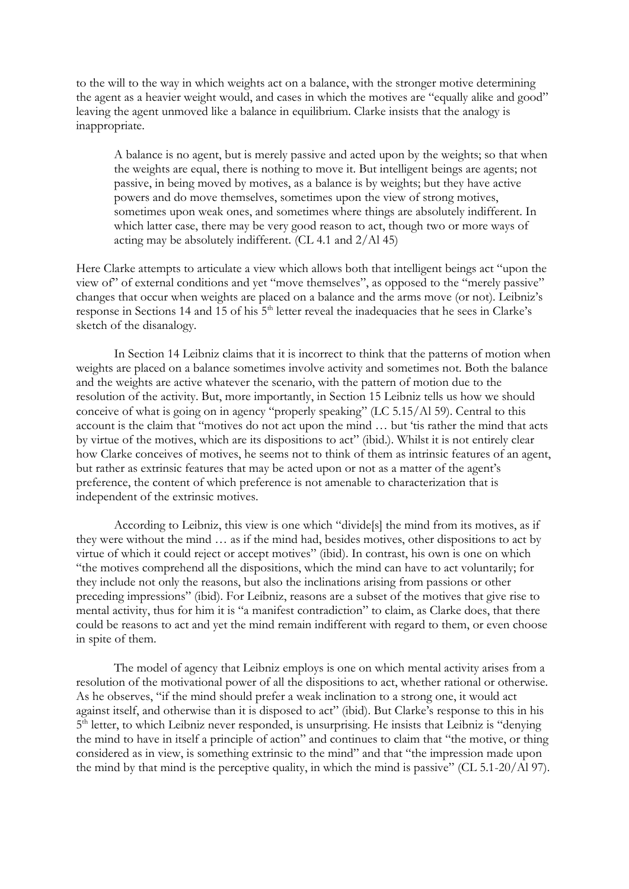to the will to the way in which weights act on a balance, with the stronger motive determining the agent as a heavier weight would, and cases in which the motives are "equally alike and good" leaving the agent unmoved like a balance in equilibrium. Clarke insists that the analogy is inappropriate.

A balance is no agent, but is merely passive and acted upon by the weights; so that when the weights are equal, there is nothing to move it. But intelligent beings are agents; not passive, in being moved by motives, as a balance is by weights; but they have active powers and do move themselves, sometimes upon the view of strong motives, sometimes upon weak ones, and sometimes where things are absolutely indifferent. In which latter case, there may be very good reason to act, though two or more ways of acting may be absolutely indifferent. (CL 4.1 and 2/Al 45)

Here Clarke attempts to articulate a view which allows both that intelligent beings act "upon the view of" of external conditions and yet "move themselves", as opposed to the "merely passive" changes that occur when weights are placed on a balance and the arms move (or not). Leibniz's response in Sections 14 and 15 of his 5<sup>th</sup> letter reveal the inadequacies that he sees in Clarke's sketch of the disanalogy.

In Section 14 Leibniz claims that it is incorrect to think that the patterns of motion when weights are placed on a balance sometimes involve activity and sometimes not. Both the balance and the weights are active whatever the scenario, with the pattern of motion due to the resolution of the activity. But, more importantly, in Section 15 Leibniz tells us how we should conceive of what is going on in agency "properly speaking" (LC 5.15/Al 59). Central to this account is the claim that "motives do not act upon the mind … but 'tis rather the mind that acts by virtue of the motives, which are its dispositions to act" (ibid.). Whilst it is not entirely clear how Clarke conceives of motives, he seems not to think of them as intrinsic features of an agent, but rather as extrinsic features that may be acted upon or not as a matter of the agent's preference, the content of which preference is not amenable to characterization that is independent of the extrinsic motives.

According to Leibniz, this view is one which "divide[s] the mind from its motives, as if they were without the mind … as if the mind had, besides motives, other dispositions to act by virtue of which it could reject or accept motives" (ibid). In contrast, his own is one on which "the motives comprehend all the dispositions, which the mind can have to act voluntarily; for they include not only the reasons, but also the inclinations arising from passions or other preceding impressions" (ibid). For Leibniz, reasons are a subset of the motives that give rise to mental activity, thus for him it is "a manifest contradiction" to claim, as Clarke does, that there could be reasons to act and yet the mind remain indifferent with regard to them, or even choose in spite of them.

The model of agency that Leibniz employs is one on which mental activity arises from a resolution of the motivational power of all the dispositions to act, whether rational or otherwise. As he observes, "if the mind should prefer a weak inclination to a strong one, it would act against itself, and otherwise than it is disposed to act" (ibid). But Clarke's response to this in his 5<sup>th</sup> letter, to which Leibniz never responded, is unsurprising. He insists that Leibniz is "denying the mind to have in itself a principle of action" and continues to claim that "the motive, or thing considered as in view, is something extrinsic to the mind" and that "the impression made upon the mind by that mind is the perceptive quality, in which the mind is passive" (CL 5.1-20/Al 97).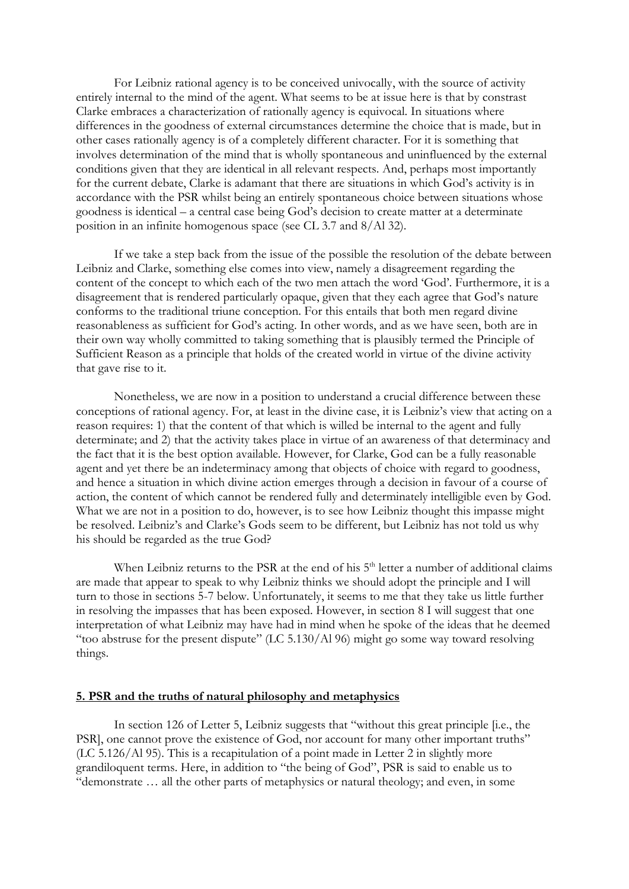For Leibniz rational agency is to be conceived univocally, with the source of activity entirely internal to the mind of the agent. What seems to be at issue here is that by constrast Clarke embraces a characterization of rationally agency is equivocal. In situations where differences in the goodness of external circumstances determine the choice that is made, but in other cases rationally agency is of a completely different character. For it is something that involves determination of the mind that is wholly spontaneous and uninfluenced by the external conditions given that they are identical in all relevant respects. And, perhaps most importantly for the current debate, Clarke is adamant that there are situations in which God's activity is in accordance with the PSR whilst being an entirely spontaneous choice between situations whose goodness is identical – a central case being God's decision to create matter at a determinate position in an infinite homogenous space (see CL 3.7 and 8/Al 32).

If we take a step back from the issue of the possible the resolution of the debate between Leibniz and Clarke, something else comes into view, namely a disagreement regarding the content of the concept to which each of the two men attach the word 'God'. Furthermore, it is a disagreement that is rendered particularly opaque, given that they each agree that God's nature conforms to the traditional triune conception. For this entails that both men regard divine reasonableness as sufficient for God's acting. In other words, and as we have seen, both are in their own way wholly committed to taking something that is plausibly termed the Principle of Sufficient Reason as a principle that holds of the created world in virtue of the divine activity that gave rise to it.

Nonetheless, we are now in a position to understand a crucial difference between these conceptions of rational agency. For, at least in the divine case, it is Leibniz's view that acting on a reason requires: 1) that the content of that which is willed be internal to the agent and fully determinate; and 2) that the activity takes place in virtue of an awareness of that determinacy and the fact that it is the best option available. However, for Clarke, God can be a fully reasonable agent and yet there be an indeterminacy among that objects of choice with regard to goodness, and hence a situation in which divine action emerges through a decision in favour of a course of action, the content of which cannot be rendered fully and determinately intelligible even by God. What we are not in a position to do, however, is to see how Leibniz thought this impasse might be resolved. Leibniz's and Clarke's Gods seem to be different, but Leibniz has not told us why his should be regarded as the true God?

When Leibniz returns to the PSR at the end of his 5<sup>th</sup> letter a number of additional claims are made that appear to speak to why Leibniz thinks we should adopt the principle and I will turn to those in sections 5-7 below. Unfortunately, it seems to me that they take us little further in resolving the impasses that has been exposed. However, in section 8 I will suggest that one interpretation of what Leibniz may have had in mind when he spoke of the ideas that he deemed "too abstruse for the present dispute" (LC 5.130/Al 96) might go some way toward resolving things.

#### **5. PSR and the truths of natural philosophy and metaphysics**

In section 126 of Letter 5, Leibniz suggests that "without this great principle [i.e., the PSR], one cannot prove the existence of God, nor account for many other important truths" (LC 5.126/Al 95). This is a recapitulation of a point made in Letter 2 in slightly more grandiloquent terms. Here, in addition to "the being of God", PSR is said to enable us to "demonstrate … all the other parts of metaphysics or natural theology; and even, in some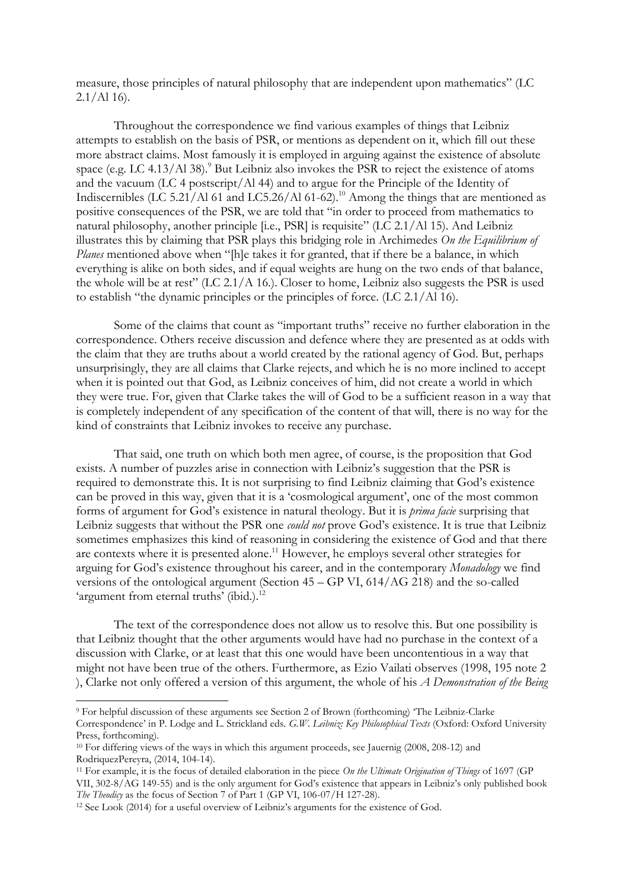measure, those principles of natural philosophy that are independent upon mathematics" (LC  $2.1/Al$  16).

Throughout the correspondence we find various examples of things that Leibniz attempts to establish on the basis of PSR, or mentions as dependent on it, which fill out these more abstract claims. Most famously it is employed in arguing against the existence of absolute space (e.g. LC  $4.13/Al$  38).<sup>9</sup> But Leibniz also invokes the PSR to reject the existence of atoms and the vacuum (LC 4 postscript/Al 44) and to argue for the Principle of the Identity of Indiscernibles (LC 5.21/Al 61 and LC5.26/Al 61-62).<sup>10</sup> Among the things that are mentioned as positive consequences of the PSR, we are told that "in order to proceed from mathematics to natural philosophy, another principle [i.e., PSR] is requisite" (LC 2.1/Al 15). And Leibniz illustrates this by claiming that PSR plays this bridging role in Archimedes *On the Equilibrium of*  Planes mentioned above when "[h]e takes it for granted, that if there be a balance, in which everything is alike on both sides, and if equal weights are hung on the two ends of that balance, the whole will be at rest" (LC 2.1/A 16.). Closer to home, Leibniz also suggests the PSR is used to establish "the dynamic principles or the principles of force. (LC 2.1/Al 16).

Some of the claims that count as "important truths" receive no further elaboration in the correspondence. Others receive discussion and defence where they are presented as at odds with the claim that they are truths about a world created by the rational agency of God. But, perhaps unsurprisingly, they are all claims that Clarke rejects, and which he is no more inclined to accept when it is pointed out that God, as Leibniz conceives of him, did not create a world in which they were true. For, given that Clarke takes the will of God to be a sufficient reason in a way that is completely independent of any specification of the content of that will, there is no way for the kind of constraints that Leibniz invokes to receive any purchase.

That said, one truth on which both men agree, of course, is the proposition that God exists. A number of puzzles arise in connection with Leibniz's suggestion that the PSR is required to demonstrate this. It is not surprising to find Leibniz claiming that God's existence can be proved in this way, given that it is a 'cosmological argument', one of the most common forms of argument for God's existence in natural theology. But it is *prima facie* surprising that Leibniz suggests that without the PSR one *could not* prove God's existence. It is true that Leibniz sometimes emphasizes this kind of reasoning in considering the existence of God and that there are contexts where it is presented alone. <sup>11</sup> However, he employs several other strategies for arguing for God's existence throughout his career, and in the contemporary *Monadology* we find versions of the ontological argument (Section 45 – GP VI, 614/AG 218) and the so-called 'argument from eternal truths' (ibid.).<sup>12</sup>

The text of the correspondence does not allow us to resolve this. But one possibility is that Leibniz thought that the other arguments would have had no purchase in the context of a discussion with Clarke, or at least that this one would have been uncontentious in a way that might not have been true of the others. Furthermore, as Ezio Vailati observes (1998, 195 note 2 ), Clarke not only offered a version of this argument, the whole of his *A Demonstration of the Being* 

-

<sup>9</sup> For helpful discussion of these arguments see Section 2 of Brown (forthcoming) 'The Leibniz-Clarke Correspondence' in P. Lodge and L. Strickland eds. *G.W. Leibniz: Key Philosophical Texts* (Oxford: Oxford University Press, forthcoming).

<sup>&</sup>lt;sup>10</sup> For differing views of the ways in which this argument proceeds, see Jauernig (2008, 208-12) and RodriquezPereyra, (2014, 104-14).

<sup>11</sup> For example, it is the focus of detailed elaboration in the piece *On the Ultimate Origination of Things* of 1697 (GP VII, 302-8/AG 149-55) and is the only argument for God's existence that appears in Leibniz's only published book *The Theodicy* as the focus of Section 7 of Part 1 (GP VI, 106-07/H 127-28).

<sup>12</sup> See Look (2014) for a useful overview of Leibniz's arguments for the existence of God.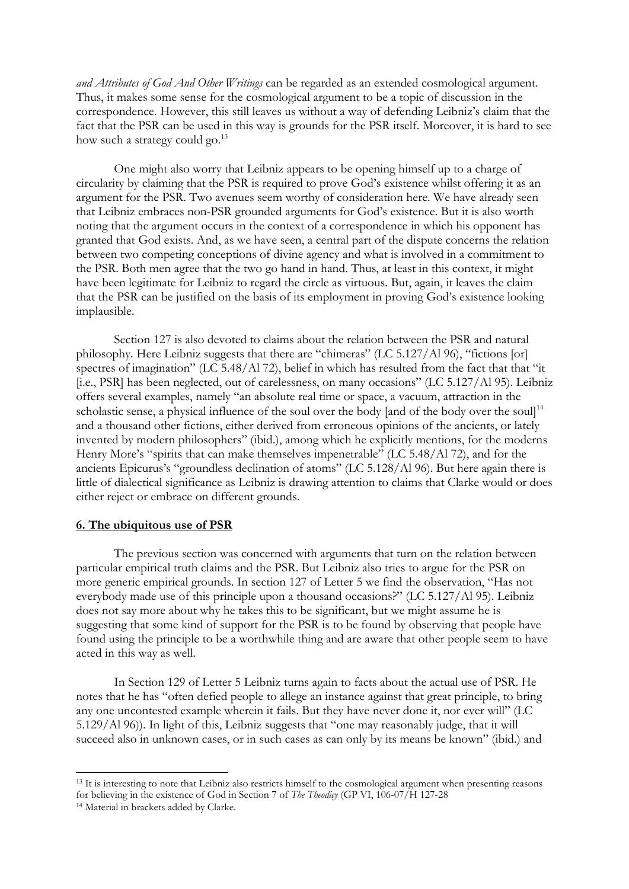*and Attributes of God And Other Writings* can be regarded as an extended cosmological argument. Thus, it makes some sense for the cosmological argument to be a topic of discussion in the correspondence. However, this still leaves us without a way of defending Leibniz's claim that the fact that the PSR can be used in this way is grounds for the PSR itself. Moreover, it is hard to see how such a strategy could go.<sup>13</sup>

One might also worry that Leibniz appears to be opening himself up to a charge of circularity by claiming that the PSR is required to prove God's existence whilst offering it as an argument for the PSR. Two avenues seem worthy of consideration here. We have already seen that Leibniz embraces non-PSR grounded arguments for God's existence. But it is also worth noting that the argument occurs in the context of a correspondence in which his opponent has granted that God exists. And, as we have seen, a central part of the dispute concerns the relation between two competing conceptions of divine agency and what is involved in a commitment to the PSR. Both men agree that the two go hand in hand. Thus, at least in this context, it might have been legitimate for Leibniz to regard the circle as virtuous. But, again, it leaves the claim that the PSR can be justified on the basis of its employment in proving God's existence looking implausible.

Section 127 is also devoted to claims about the relation between the PSR and natural philosophy. Here Leibniz suggests that there are "chimeras" (LC 5.127/Al 96), "fictions [or] spectres of imagination" (LC 5.48/Al 72), belief in which has resulted from the fact that that "it [i.e., PSR] has been neglected, out of carelessness, on many occasions" (LC 5.127/Al 95). Leibniz offers several examples, namely "an absolute real time or space, a vacuum, attraction in the scholastic sense, a physical influence of the soul over the body [and of the body over the soul]<sup>14</sup> and a thousand other fictions, either derived from erroneous opinions of the ancients, or lately invented by modern philosophers" (ibid.), among which he explicitly mentions, for the moderns Henry More's "spirits that can make themselves impenetrable" (LC 5.48/Al 72), and for the ancients Epicurus's "groundless declination of atoms" (LC 5.128/Al 96). But here again there is little of dialectical significance as Leibniz is drawing attention to claims that Clarke would or does either reject or embrace on different grounds.

# **6. The ubiquitous use of PSR**

The previous section was concerned with arguments that turn on the relation between particular empirical truth claims and the PSR. But Leibniz also tries to argue for the PSR on more generic empirical grounds. In section 127 of Letter 5 we find the observation, "Has not everybody made use of this principle upon a thousand occasions?" (LC 5.127/Al 95). Leibniz does not say more about why he takes this to be significant, but we might assume he is suggesting that some kind of support for the PSR is to be found by observing that people have found using the principle to be a worthwhile thing and are aware that other people seem to have acted in this way as well.

In Section 129 of Letter 5 Leibniz turns again to facts about the actual use of PSR. He notes that he has "often defied people to allege an instance against that great principle, to bring any one uncontested example wherein it fails. But they have never done it, nor ever will" (LC 5.129/Al 96)). In light of this, Leibniz suggests that "one may reasonably judge, that it will succeed also in unknown cases, or in such cases as can only by its means be known" (ibid.) and

<sup>&</sup>lt;sup>13</sup> It is interesting to note that Leibniz also restricts himself to the cosmological argument when presenting reasons for believing in the existence of God in Section 7 of *The Theodicy* (GP VI, 106-07/H 127-28

<sup>14</sup> Material in brackets added by Clarke.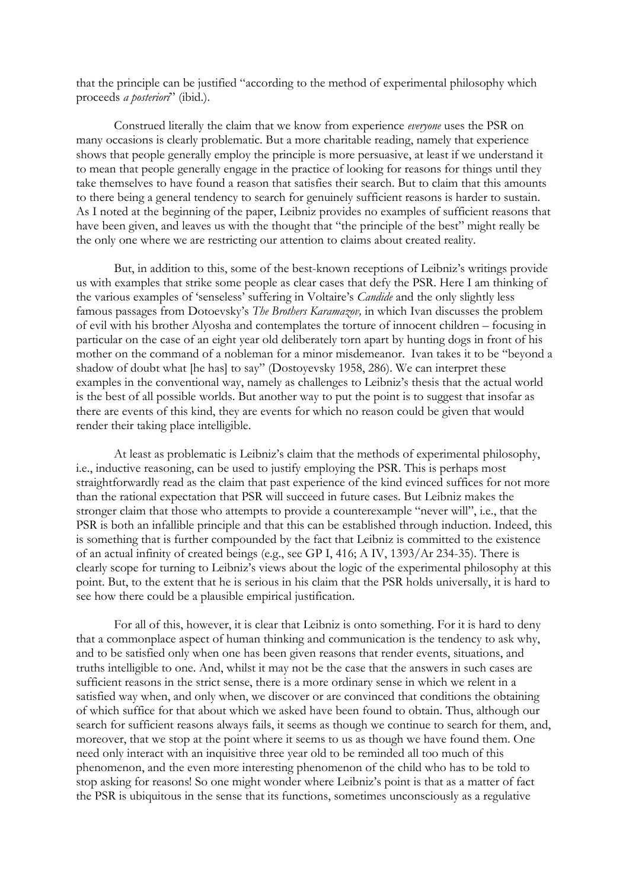that the principle can be justified "according to the method of experimental philosophy which proceeds *a posteriori*" (ibid.).

Construed literally the claim that we know from experience *everyone* uses the PSR on many occasions is clearly problematic. But a more charitable reading, namely that experience shows that people generally employ the principle is more persuasive, at least if we understand it to mean that people generally engage in the practice of looking for reasons for things until they take themselves to have found a reason that satisfies their search. But to claim that this amounts to there being a general tendency to search for genuinely sufficient reasons is harder to sustain. As I noted at the beginning of the paper, Leibniz provides no examples of sufficient reasons that have been given, and leaves us with the thought that "the principle of the best" might really be the only one where we are restricting our attention to claims about created reality.

But, in addition to this, some of the best-known receptions of Leibniz's writings provide us with examples that strike some people as clear cases that defy the PSR. Here I am thinking of the various examples of 'senseless' suffering in Voltaire's *Candide* and the only slightly less famous passages from Dotoevsky's *The Brothers Karamazov,* in which Ivan discusses the problem of evil with his brother Alyosha and contemplates the torture of innocent children – focusing in particular on the case of an eight year old deliberately torn apart by hunting dogs in front of his mother on the command of a nobleman for a minor misdemeanor. Ivan takes it to be "beyond a shadow of doubt what [he has] to say" (Dostoyevsky 1958, 286). We can interpret these examples in the conventional way, namely as challenges to Leibniz's thesis that the actual world is the best of all possible worlds. But another way to put the point is to suggest that insofar as there are events of this kind, they are events for which no reason could be given that would render their taking place intelligible.

At least as problematic is Leibniz's claim that the methods of experimental philosophy, i.e., inductive reasoning, can be used to justify employing the PSR. This is perhaps most straightforwardly read as the claim that past experience of the kind evinced suffices for not more than the rational expectation that PSR will succeed in future cases. But Leibniz makes the stronger claim that those who attempts to provide a counterexample "never will", i.e., that the PSR is both an infallible principle and that this can be established through induction. Indeed, this is something that is further compounded by the fact that Leibniz is committed to the existence of an actual infinity of created beings (e.g., see GP I, 416; A IV, 1393/Ar 234-35). There is clearly scope for turning to Leibniz's views about the logic of the experimental philosophy at this point. But, to the extent that he is serious in his claim that the PSR holds universally, it is hard to see how there could be a plausible empirical justification.

For all of this, however, it is clear that Leibniz is onto something. For it is hard to deny that a commonplace aspect of human thinking and communication is the tendency to ask why, and to be satisfied only when one has been given reasons that render events, situations, and truths intelligible to one. And, whilst it may not be the case that the answers in such cases are sufficient reasons in the strict sense, there is a more ordinary sense in which we relent in a satisfied way when, and only when, we discover or are convinced that conditions the obtaining of which suffice for that about which we asked have been found to obtain. Thus, although our search for sufficient reasons always fails, it seems as though we continue to search for them, and, moreover, that we stop at the point where it seems to us as though we have found them. One need only interact with an inquisitive three year old to be reminded all too much of this phenomenon, and the even more interesting phenomenon of the child who has to be told to stop asking for reasons! So one might wonder where Leibniz's point is that as a matter of fact the PSR is ubiquitous in the sense that its functions, sometimes unconsciously as a regulative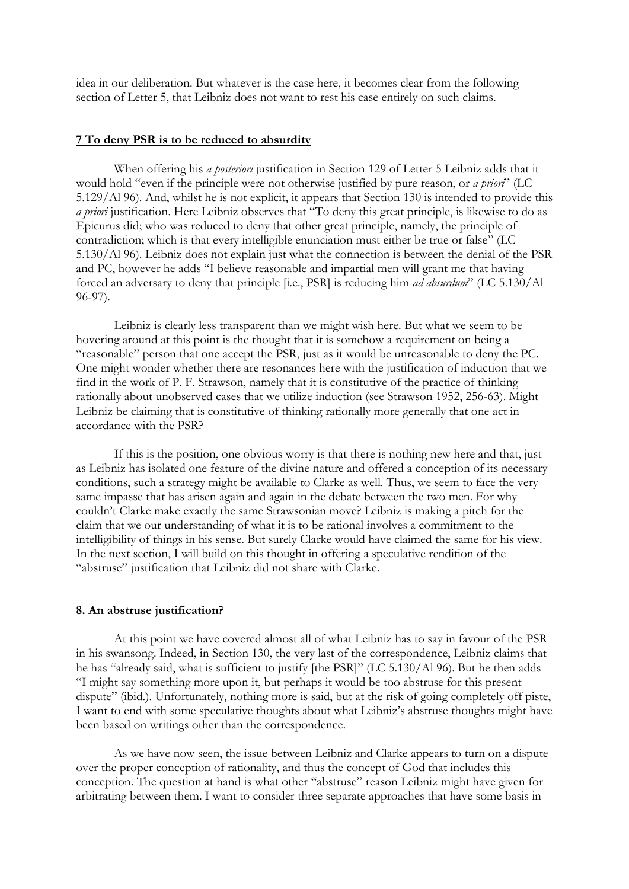idea in our deliberation. But whatever is the case here, it becomes clear from the following section of Letter 5, that Leibniz does not want to rest his case entirely on such claims.

### **7 To deny PSR is to be reduced to absurdity**

When offering his *a posteriori* justification in Section 129 of Letter 5 Leibniz adds that it would hold "even if the principle were not otherwise justified by pure reason, or *a priori*" (LC 5.129/Al 96). And, whilst he is not explicit, it appears that Section 130 is intended to provide this *a priori* justification. Here Leibniz observes that "To deny this great principle, is likewise to do as Epicurus did; who was reduced to deny that other great principle, namely, the principle of contradiction; which is that every intelligible enunciation must either be true or false" (LC 5.130/Al 96). Leibniz does not explain just what the connection is between the denial of the PSR and PC, however he adds "I believe reasonable and impartial men will grant me that having forced an adversary to deny that principle [i.e., PSR] is reducing him *ad absurdum*" (LC 5.130/Al 96-97).

Leibniz is clearly less transparent than we might wish here. But what we seem to be hovering around at this point is the thought that it is somehow a requirement on being a "reasonable" person that one accept the PSR, just as it would be unreasonable to deny the PC. One might wonder whether there are resonances here with the justification of induction that we find in the work of P. F. Strawson, namely that it is constitutive of the practice of thinking rationally about unobserved cases that we utilize induction (see Strawson 1952, 256-63). Might Leibniz be claiming that is constitutive of thinking rationally more generally that one act in accordance with the PSR?

If this is the position, one obvious worry is that there is nothing new here and that, just as Leibniz has isolated one feature of the divine nature and offered a conception of its necessary conditions, such a strategy might be available to Clarke as well. Thus, we seem to face the very same impasse that has arisen again and again in the debate between the two men. For why couldn't Clarke make exactly the same Strawsonian move? Leibniz is making a pitch for the claim that we our understanding of what it is to be rational involves a commitment to the intelligibility of things in his sense. But surely Clarke would have claimed the same for his view. In the next section, I will build on this thought in offering a speculative rendition of the "abstruse" justification that Leibniz did not share with Clarke.

### **8. An abstruse justification?**

At this point we have covered almost all of what Leibniz has to say in favour of the PSR in his swansong. Indeed, in Section 130, the very last of the correspondence, Leibniz claims that he has "already said, what is sufficient to justify [the PSR]" (LC 5.130/Al 96). But he then adds "I might say something more upon it, but perhaps it would be too abstruse for this present dispute" (ibid.). Unfortunately, nothing more is said, but at the risk of going completely off piste, I want to end with some speculative thoughts about what Leibniz's abstruse thoughts might have been based on writings other than the correspondence.

As we have now seen, the issue between Leibniz and Clarke appears to turn on a dispute over the proper conception of rationality, and thus the concept of God that includes this conception. The question at hand is what other "abstruse" reason Leibniz might have given for arbitrating between them. I want to consider three separate approaches that have some basis in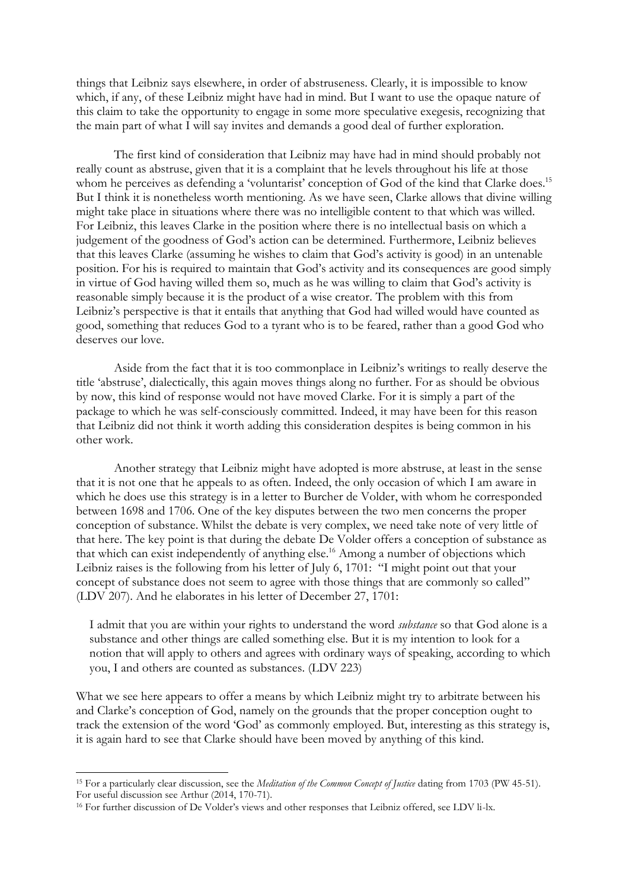things that Leibniz says elsewhere, in order of abstruseness. Clearly, it is impossible to know which, if any, of these Leibniz might have had in mind. But I want to use the opaque nature of this claim to take the opportunity to engage in some more speculative exegesis, recognizing that the main part of what I will say invites and demands a good deal of further exploration.

The first kind of consideration that Leibniz may have had in mind should probably not really count as abstruse, given that it is a complaint that he levels throughout his life at those whom he perceives as defending a 'voluntarist' conception of God of the kind that Clarke does.<sup>15</sup> But I think it is nonetheless worth mentioning. As we have seen, Clarke allows that divine willing might take place in situations where there was no intelligible content to that which was willed. For Leibniz, this leaves Clarke in the position where there is no intellectual basis on which a judgement of the goodness of God's action can be determined. Furthermore, Leibniz believes that this leaves Clarke (assuming he wishes to claim that God's activity is good) in an untenable position. For his is required to maintain that God's activity and its consequences are good simply in virtue of God having willed them so, much as he was willing to claim that God's activity is reasonable simply because it is the product of a wise creator. The problem with this from Leibniz's perspective is that it entails that anything that God had willed would have counted as good, something that reduces God to a tyrant who is to be feared, rather than a good God who deserves our love.

Aside from the fact that it is too commonplace in Leibniz's writings to really deserve the title 'abstruse', dialectically, this again moves things along no further. For as should be obvious by now, this kind of response would not have moved Clarke. For it is simply a part of the package to which he was self-consciously committed. Indeed, it may have been for this reason that Leibniz did not think it worth adding this consideration despites is being common in his other work.

Another strategy that Leibniz might have adopted is more abstruse, at least in the sense that it is not one that he appeals to as often. Indeed, the only occasion of which I am aware in which he does use this strategy is in a letter to Burcher de Volder, with whom he corresponded between 1698 and 1706. One of the key disputes between the two men concerns the proper conception of substance. Whilst the debate is very complex, we need take note of very little of that here. The key point is that during the debate De Volder offers a conception of substance as that which can exist independently of anything else. <sup>16</sup> Among a number of objections which Leibniz raises is the following from his letter of July 6, 1701: "I might point out that your concept of substance does not seem to agree with those things that are commonly so called" (LDV 207). And he elaborates in his letter of December 27, 1701:

I admit that you are within your rights to understand the word *substance* so that God alone is a substance and other things are called something else. But it is my intention to look for a notion that will apply to others and agrees with ordinary ways of speaking, according to which you, I and others are counted as substances. (LDV 223)

What we see here appears to offer a means by which Leibniz might try to arbitrate between his and Clarke's conception of God, namely on the grounds that the proper conception ought to track the extension of the word 'God' as commonly employed. But, interesting as this strategy is, it is again hard to see that Clarke should have been moved by anything of this kind.

<sup>15</sup> For a particularly clear discussion, see the *Meditation of the Common Concept of Justice* dating from 1703 (PW 45-51). For useful discussion see Arthur (2014, 170-71).

<sup>&</sup>lt;sup>16</sup> For further discussion of De Volder's views and other responses that Leibniz offered, see LDV li-lx.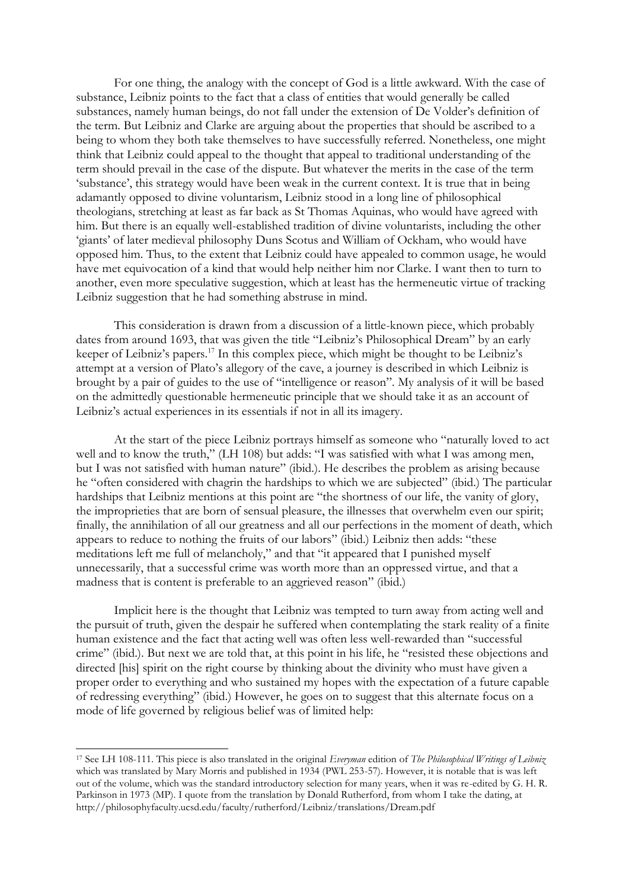For one thing, the analogy with the concept of God is a little awkward. With the case of substance, Leibniz points to the fact that a class of entities that would generally be called substances, namely human beings, do not fall under the extension of De Volder's definition of the term. But Leibniz and Clarke are arguing about the properties that should be ascribed to a being to whom they both take themselves to have successfully referred. Nonetheless, one might think that Leibniz could appeal to the thought that appeal to traditional understanding of the term should prevail in the case of the dispute. But whatever the merits in the case of the term 'substance', this strategy would have been weak in the current context. It is true that in being adamantly opposed to divine voluntarism, Leibniz stood in a long line of philosophical theologians, stretching at least as far back as St Thomas Aquinas, who would have agreed with him. But there is an equally well-established tradition of divine voluntarists, including the other 'giants' of later medieval philosophy Duns Scotus and William of Ockham, who would have opposed him. Thus, to the extent that Leibniz could have appealed to common usage, he would have met equivocation of a kind that would help neither him nor Clarke. I want then to turn to another, even more speculative suggestion, which at least has the hermeneutic virtue of tracking Leibniz suggestion that he had something abstruse in mind.

This consideration is drawn from a discussion of a little-known piece, which probably dates from around 1693, that was given the title "Leibniz's Philosophical Dream" by an early keeper of Leibniz's papers.<sup>17</sup> In this complex piece, which might be thought to be Leibniz's attempt at a version of Plato's allegory of the cave, a journey is described in which Leibniz is brought by a pair of guides to the use of "intelligence or reason". My analysis of it will be based on the admittedly questionable hermeneutic principle that we should take it as an account of Leibniz's actual experiences in its essentials if not in all its imagery.

At the start of the piece Leibniz portrays himself as someone who "naturally loved to act well and to know the truth," (LH 108) but adds: "I was satisfied with what I was among men, but I was not satisfied with human nature" (ibid.). He describes the problem as arising because he "often considered with chagrin the hardships to which we are subjected" (ibid.) The particular hardships that Leibniz mentions at this point are "the shortness of our life, the vanity of glory, the improprieties that are born of sensual pleasure, the illnesses that overwhelm even our spirit; finally, the annihilation of all our greatness and all our perfections in the moment of death, which appears to reduce to nothing the fruits of our labors" (ibid.) Leibniz then adds: "these meditations left me full of melancholy," and that "it appeared that I punished myself unnecessarily, that a successful crime was worth more than an oppressed virtue, and that a madness that is content is preferable to an aggrieved reason" (ibid.)

Implicit here is the thought that Leibniz was tempted to turn away from acting well and the pursuit of truth, given the despair he suffered when contemplating the stark reality of a finite human existence and the fact that acting well was often less well-rewarded than "successful crime" (ibid.). But next we are told that, at this point in his life, he "resisted these objections and directed [his] spirit on the right course by thinking about the divinity who must have given a proper order to everything and who sustained my hopes with the expectation of a future capable of redressing everything" (ibid.) However, he goes on to suggest that this alternate focus on a mode of life governed by religious belief was of limited help:

-

<sup>17</sup> See LH 108-111. This piece is also translated in the original *Everyman* edition of *The Philosophical Writings of Leibniz* which was translated by Mary Morris and published in 1934 (PWL 253-57). However, it is notable that is was left out of the volume, which was the standard introductory selection for many years, when it was re-edited by G. H. R. Parkinson in 1973 (MP). I quote from the translation by Donald Rutherford, from whom I take the dating, at http://philosophyfaculty.ucsd.edu/faculty/rutherford/Leibniz/translations/Dream.pdf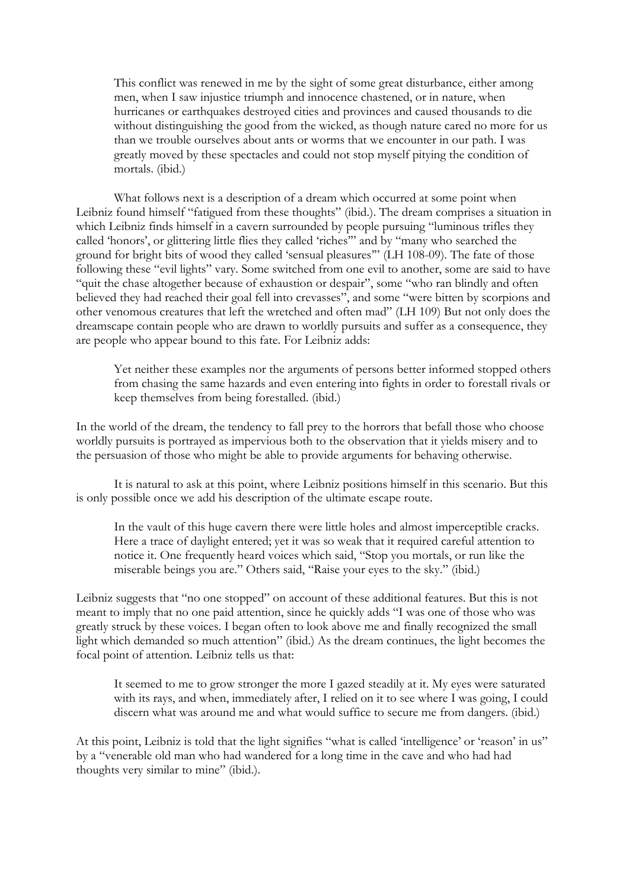This conflict was renewed in me by the sight of some great disturbance, either among men, when I saw injustice triumph and innocence chastened, or in nature, when hurricanes or earthquakes destroyed cities and provinces and caused thousands to die without distinguishing the good from the wicked, as though nature cared no more for us than we trouble ourselves about ants or worms that we encounter in our path. I was greatly moved by these spectacles and could not stop myself pitying the condition of mortals. (ibid.)

What follows next is a description of a dream which occurred at some point when Leibniz found himself "fatigued from these thoughts" (ibid.). The dream comprises a situation in which Leibniz finds himself in a cavern surrounded by people pursuing "luminous trifles they called 'honors', or glittering little flies they called 'riches'" and by "many who searched the ground for bright bits of wood they called 'sensual pleasures'" (LH 108-09). The fate of those following these "evil lights" vary. Some switched from one evil to another, some are said to have "quit the chase altogether because of exhaustion or despair", some "who ran blindly and often believed they had reached their goal fell into crevasses", and some "were bitten by scorpions and other venomous creatures that left the wretched and often mad" (LH 109) But not only does the dreamscape contain people who are drawn to worldly pursuits and suffer as a consequence, they are people who appear bound to this fate. For Leibniz adds:

Yet neither these examples nor the arguments of persons better informed stopped others from chasing the same hazards and even entering into fights in order to forestall rivals or keep themselves from being forestalled. (ibid.)

In the world of the dream, the tendency to fall prey to the horrors that befall those who choose worldly pursuits is portrayed as impervious both to the observation that it yields misery and to the persuasion of those who might be able to provide arguments for behaving otherwise.

It is natural to ask at this point, where Leibniz positions himself in this scenario. But this is only possible once we add his description of the ultimate escape route.

In the vault of this huge cavern there were little holes and almost imperceptible cracks. Here a trace of daylight entered; yet it was so weak that it required careful attention to notice it. One frequently heard voices which said, "Stop you mortals, or run like the miserable beings you are." Others said, "Raise your eyes to the sky." (ibid.)

Leibniz suggests that "no one stopped" on account of these additional features. But this is not meant to imply that no one paid attention, since he quickly adds "I was one of those who was greatly struck by these voices. I began often to look above me and finally recognized the small light which demanded so much attention" (ibid.) As the dream continues, the light becomes the focal point of attention. Leibniz tells us that:

It seemed to me to grow stronger the more I gazed steadily at it. My eyes were saturated with its rays, and when, immediately after, I relied on it to see where I was going, I could discern what was around me and what would suffice to secure me from dangers. (ibid.)

At this point, Leibniz is told that the light signifies "what is called 'intelligence' or 'reason' in us" by a "venerable old man who had wandered for a long time in the cave and who had had thoughts very similar to mine" (ibid.).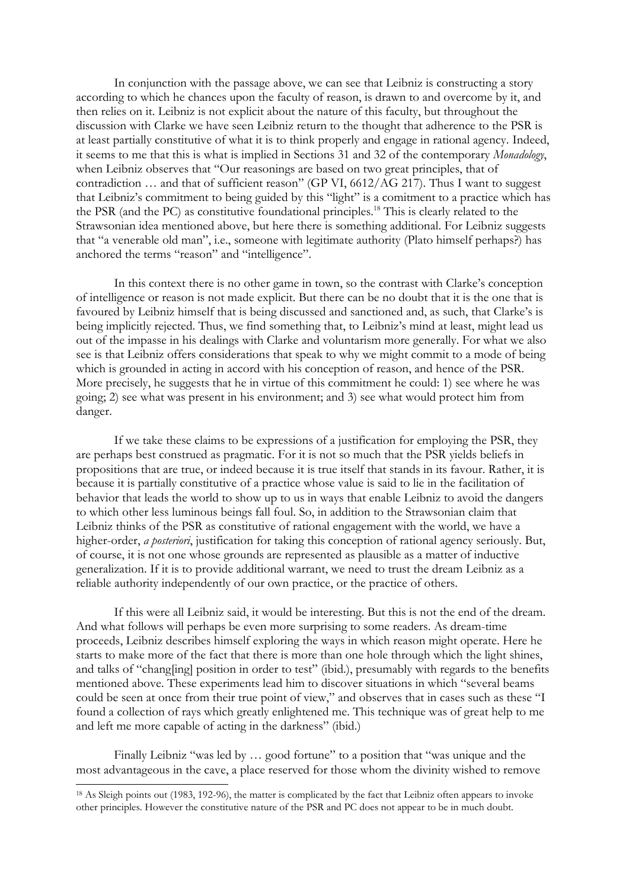In conjunction with the passage above, we can see that Leibniz is constructing a story according to which he chances upon the faculty of reason, is drawn to and overcome by it, and then relies on it. Leibniz is not explicit about the nature of this faculty, but throughout the discussion with Clarke we have seen Leibniz return to the thought that adherence to the PSR is at least partially constitutive of what it is to think properly and engage in rational agency. Indeed, it seems to me that this is what is implied in Sections 31 and 32 of the contemporary *Monadology*, when Leibniz observes that "Our reasonings are based on two great principles, that of contradiction … and that of sufficient reason" (GP VI, 6612/AG 217). Thus I want to suggest that Leibniz's commitment to being guided by this "light" is a comitment to a practice which has the PSR (and the PC) as constitutive foundational principles.<sup>18</sup> This is clearly related to the Strawsonian idea mentioned above, but here there is something additional. For Leibniz suggests that "a venerable old man", i.e., someone with legitimate authority (Plato himself perhaps?) has anchored the terms "reason" and "intelligence".

In this context there is no other game in town, so the contrast with Clarke's conception of intelligence or reason is not made explicit. But there can be no doubt that it is the one that is favoured by Leibniz himself that is being discussed and sanctioned and, as such, that Clarke's is being implicitly rejected. Thus, we find something that, to Leibniz's mind at least, might lead us out of the impasse in his dealings with Clarke and voluntarism more generally. For what we also see is that Leibniz offers considerations that speak to why we might commit to a mode of being which is grounded in acting in accord with his conception of reason, and hence of the PSR. More precisely, he suggests that he in virtue of this commitment he could: 1) see where he was going; 2) see what was present in his environment; and 3) see what would protect him from danger.

If we take these claims to be expressions of a justification for employing the PSR, they are perhaps best construed as pragmatic. For it is not so much that the PSR yields beliefs in propositions that are true, or indeed because it is true itself that stands in its favour. Rather, it is because it is partially constitutive of a practice whose value is said to lie in the facilitation of behavior that leads the world to show up to us in ways that enable Leibniz to avoid the dangers to which other less luminous beings fall foul. So, in addition to the Strawsonian claim that Leibniz thinks of the PSR as constitutive of rational engagement with the world, we have a higher-order, *a posteriori*, justification for taking this conception of rational agency seriously. But, of course, it is not one whose grounds are represented as plausible as a matter of inductive generalization. If it is to provide additional warrant, we need to trust the dream Leibniz as a reliable authority independently of our own practice, or the practice of others.

If this were all Leibniz said, it would be interesting. But this is not the end of the dream. And what follows will perhaps be even more surprising to some readers. As dream-time proceeds, Leibniz describes himself exploring the ways in which reason might operate. Here he starts to make more of the fact that there is more than one hole through which the light shines, and talks of "chang[ing] position in order to test" (ibid.), presumably with regards to the benefits mentioned above. These experiments lead him to discover situations in which "several beams could be seen at once from their true point of view," and observes that in cases such as these "I found a collection of rays which greatly enlightened me. This technique was of great help to me and left me more capable of acting in the darkness" (ibid.)

Finally Leibniz "was led by … good fortune" to a position that "was unique and the most advantageous in the cave, a place reserved for those whom the divinity wished to remove

 $\overline{a}$ 

<sup>&</sup>lt;sup>18</sup> As Sleigh points out (1983, 192-96), the matter is complicated by the fact that Leibniz often appears to invoke other principles. However the constitutive nature of the PSR and PC does not appear to be in much doubt.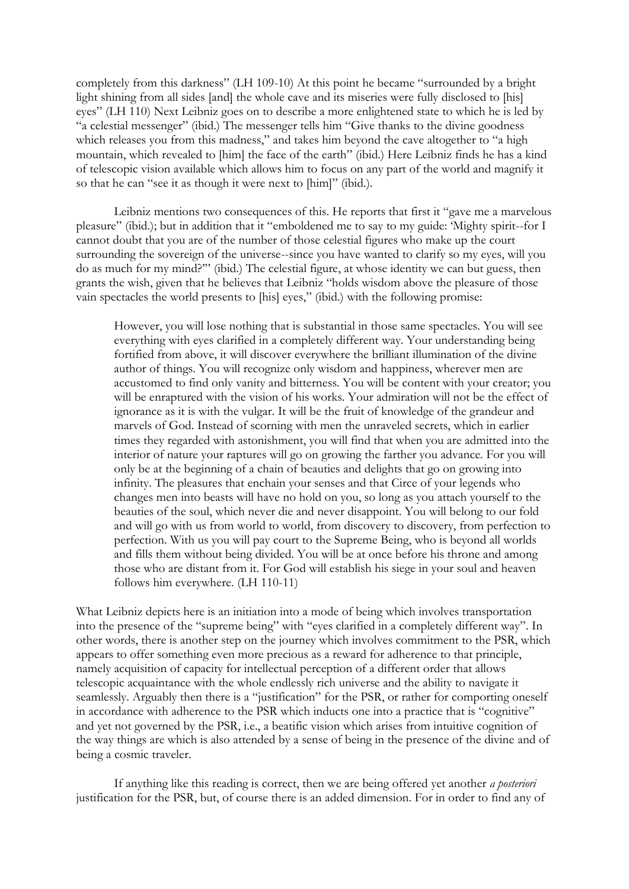completely from this darkness" (LH 109-10) At this point he became "surrounded by a bright light shining from all sides [and] the whole cave and its miseries were fully disclosed to [his] eyes" (LH 110) Next Leibniz goes on to describe a more enlightened state to which he is led by "a celestial messenger" (ibid.) The messenger tells him "Give thanks to the divine goodness which releases you from this madness," and takes him beyond the cave altogether to "a high mountain, which revealed to [him] the face of the earth" (ibid.) Here Leibniz finds he has a kind of telescopic vision available which allows him to focus on any part of the world and magnify it so that he can "see it as though it were next to [him]" (ibid.).

Leibniz mentions two consequences of this. He reports that first it "gave me a marvelous pleasure" (ibid.); but in addition that it "emboldened me to say to my guide: 'Mighty spirit--for I cannot doubt that you are of the number of those celestial figures who make up the court surrounding the sovereign of the universe--since you have wanted to clarify so my eyes, will you do as much for my mind?'" (ibid.) The celestial figure, at whose identity we can but guess, then grants the wish, given that he believes that Leibniz "holds wisdom above the pleasure of those vain spectacles the world presents to [his] eyes," (ibid.) with the following promise:

However, you will lose nothing that is substantial in those same spectacles. You will see everything with eyes clarified in a completely different way. Your understanding being fortified from above, it will discover everywhere the brilliant illumination of the divine author of things. You will recognize only wisdom and happiness, wherever men are accustomed to find only vanity and bitterness. You will be content with your creator; you will be enraptured with the vision of his works. Your admiration will not be the effect of ignorance as it is with the vulgar. It will be the fruit of knowledge of the grandeur and marvels of God. Instead of scorning with men the unraveled secrets, which in earlier times they regarded with astonishment, you will find that when you are admitted into the interior of nature your raptures will go on growing the farther you advance. For you will only be at the beginning of a chain of beauties and delights that go on growing into infinity. The pleasures that enchain your senses and that Circe of your legends who changes men into beasts will have no hold on you, so long as you attach yourself to the beauties of the soul, which never die and never disappoint. You will belong to our fold and will go with us from world to world, from discovery to discovery, from perfection to perfection. With us you will pay court to the Supreme Being, who is beyond all worlds and fills them without being divided. You will be at once before his throne and among those who are distant from it. For God will establish his siege in your soul and heaven follows him everywhere. (LH 110-11)

What Leibniz depicts here is an initiation into a mode of being which involves transportation into the presence of the "supreme being" with "eyes clarified in a completely different way". In other words, there is another step on the journey which involves commitment to the PSR, which appears to offer something even more precious as a reward for adherence to that principle, namely acquisition of capacity for intellectual perception of a different order that allows telescopic acquaintance with the whole endlessly rich universe and the ability to navigate it seamlessly. Arguably then there is a "justification" for the PSR, or rather for comporting oneself in accordance with adherence to the PSR which inducts one into a practice that is "cognitive" and yet not governed by the PSR, i.e., a beatific vision which arises from intuitive cognition of the way things are which is also attended by a sense of being in the presence of the divine and of being a cosmic traveler.

If anything like this reading is correct, then we are being offered yet another *a posteriori* justification for the PSR, but, of course there is an added dimension. For in order to find any of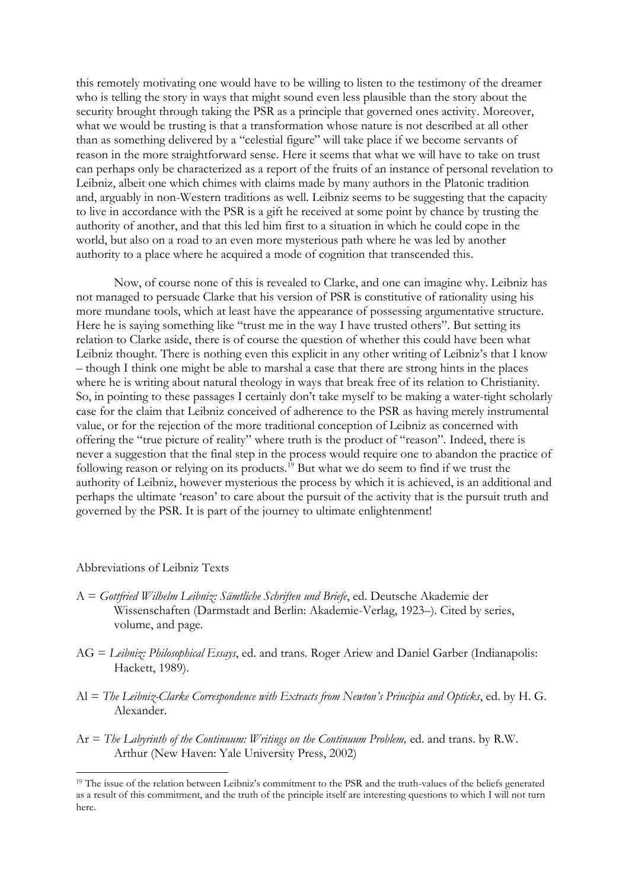this remotely motivating one would have to be willing to listen to the testimony of the dreamer who is telling the story in ways that might sound even less plausible than the story about the security brought through taking the PSR as a principle that governed ones activity. Moreover, what we would be trusting is that a transformation whose nature is not described at all other than as something delivered by a "celestial figure" will take place if we become servants of reason in the more straightforward sense. Here it seems that what we will have to take on trust can perhaps only be characterized as a report of the fruits of an instance of personal revelation to Leibniz, albeit one which chimes with claims made by many authors in the Platonic tradition and, arguably in non-Western traditions as well. Leibniz seems to be suggesting that the capacity to live in accordance with the PSR is a gift he received at some point by chance by trusting the authority of another, and that this led him first to a situation in which he could cope in the world, but also on a road to an even more mysterious path where he was led by another authority to a place where he acquired a mode of cognition that transcended this.

Now, of course none of this is revealed to Clarke, and one can imagine why. Leibniz has not managed to persuade Clarke that his version of PSR is constitutive of rationality using his more mundane tools, which at least have the appearance of possessing argumentative structure. Here he is saying something like "trust me in the way I have trusted others". But setting its relation to Clarke aside, there is of course the question of whether this could have been what Leibniz thought. There is nothing even this explicit in any other writing of Leibniz's that I know – though I think one might be able to marshal a case that there are strong hints in the places where he is writing about natural theology in ways that break free of its relation to Christianity. So, in pointing to these passages I certainly don't take myself to be making a water-tight scholarly case for the claim that Leibniz conceived of adherence to the PSR as having merely instrumental value, or for the rejection of the more traditional conception of Leibniz as concerned with offering the "true picture of reality" where truth is the product of "reason". Indeed, there is never a suggestion that the final step in the process would require one to abandon the practice of following reason or relying on its products.<sup>19</sup> But what we do seem to find if we trust the authority of Leibniz, however mysterious the process by which it is achieved, is an additional and perhaps the ultimate 'reason' to care about the pursuit of the activity that is the pursuit truth and governed by the PSR. It is part of the journey to ultimate enlightenment!

#### Abbreviations of Leibniz Texts

- A = *Gottfried Wilhelm Leibniz: Sämtliche Schriften und Briefe*, ed. Deutsche Akademie der Wissenschaften (Darmstadt and Berlin: Akademie-Verlag, 1923–). Cited by series, volume, and page.
- AG = *Leibniz: Philosophical Essays*, ed. and trans. Roger Ariew and Daniel Garber (Indianapolis: Hackett, 1989).
- Al = *The Leibniz-Clarke Correspondence with Extracts from Newton's Principia and Opticks*, ed. by H. G. Alexander.
- Ar = *The Labyrinth of the Continuum: Writings on the Continuum Problem*, ed. and trans. by R.W. Arthur (New Haven: Yale University Press, 2002)

<sup>&</sup>lt;sup>19</sup> The issue of the relation between Leibniz's commitment to the PSR and the truth-values of the beliefs generated as a result of this commitment, and the truth of the principle itself are interesting questions to which I will not turn here.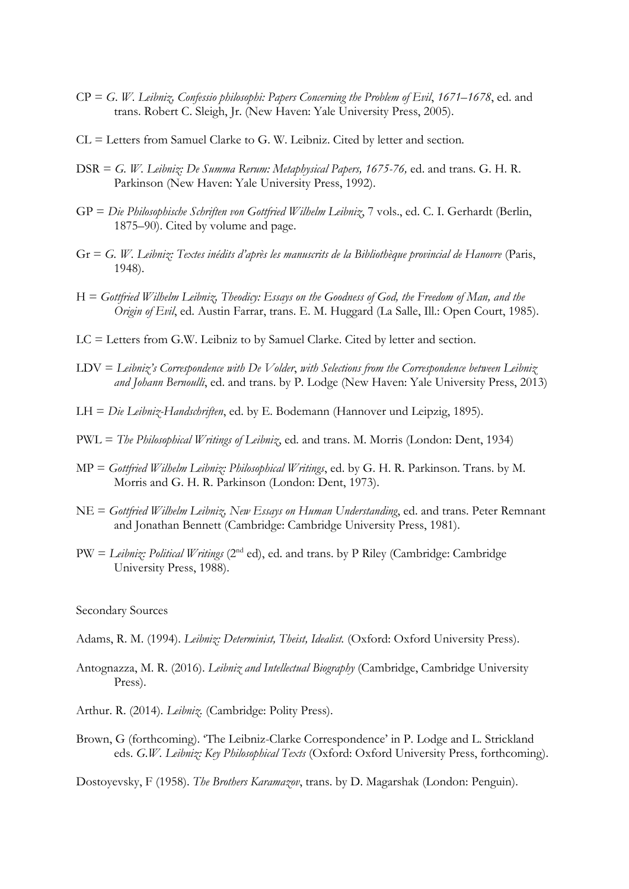- CP = *G*. *W. Leibniz, Confessio philosophi: Papers Concerning the Problem of Evil*, *1671–1678*, ed. and trans. Robert C. Sleigh, Jr. (New Haven: Yale University Press, 2005).
- CL = Letters from Samuel Clarke to G. W. Leibniz. Cited by letter and section.
- DSR = *G. W. Leibniz: De Summa Rerum: Metaphysical Papers, 1675-76*, ed. and trans. G. H. R. Parkinson (New Haven: Yale University Press, 1992).
- GP = *Die Philosophische Schriften von Gottfried Wilhelm Leibniz*, 7 vols., ed. C. I. Gerhardt (Berlin, 1875–90). Cited by volume and page.
- Gr = *G. W. Leibniz: Textes inédits d'après les manuscrits de la Bibliothèque provincial de Hanovre* (Paris, 1948).
- H = *Gottfried Wilhelm Leibniz, Theodicy: Essays on the Goodness of God, the Freedom of Man, and the Origin of Evil*, ed. Austin Farrar, trans. E. M. Huggard (La Salle, Ill.: Open Court, 1985).
- LC = Letters from G.W. Leibniz to by Samuel Clarke. Cited by letter and section.
- LDV = *Leibniz's Correspondence with De Volder*, *with Selections from the Correspondence between Leibniz and Johann Bernoulli*, ed. and trans. by P. Lodge (New Haven: Yale University Press, 2013)
- LH = *Die Leibniz-Handschriften*, ed. by E. Bodemann (Hannover und Leipzig, 1895).
- PWL = *The Philosophical Writings of Leibniz*, ed. and trans. M. Morris (London: Dent, 1934)
- MP = *Gottfried Wilhelm Leibniz: Philosophical Writings*, ed. by G. H. R. Parkinson. Trans. by M. Morris and G. H. R. Parkinson (London: Dent, 1973).
- NE = *Gottfried Wilhelm Leibniz, New Essays on Human Understanding*, ed. and trans. Peter Remnant and Jonathan Bennett (Cambridge: Cambridge University Press, 1981).
- PW = *Leibniz: Political Writings* (2nd ed), ed. and trans. by P Riley (Cambridge: Cambridge University Press, 1988).

Secondary Sources

- Adams, R. M. (1994). *Leibniz: Determinist, Theist, Idealist.* (Oxford: Oxford University Press).
- Antognazza, M. R. (2016). *Leibniz and Intellectual Biography* (Cambridge, Cambridge University Press).
- Arthur. R. (2014). *Leibniz*. (Cambridge: Polity Press).
- Brown, G (forthcoming). 'The Leibniz-Clarke Correspondence' in P. Lodge and L. Strickland eds. *G.W. Leibniz: Key Philosophical Texts* (Oxford: Oxford University Press, forthcoming).

Dostoyevsky, F (1958). *The Brothers Karamazov*, trans. by D. Magarshak (London: Penguin).